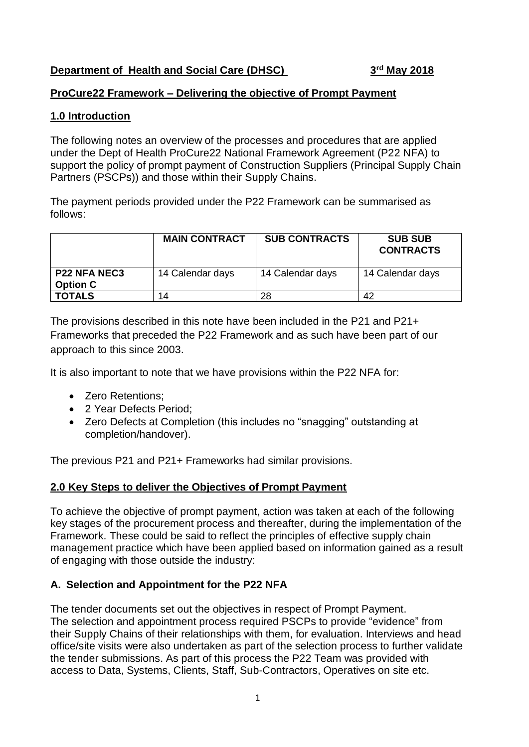## **Department of Health and Social Care (DHSC) 3**

**rd May 2018**

## **ProCure22 Framework – Delivering the objective of Prompt Payment**

## **1.0 Introduction**

The following notes an overview of the processes and procedures that are applied under the Dept of Health ProCure22 National Framework Agreement (P22 NFA) to support the policy of prompt payment of Construction Suppliers (Principal Supply Chain Partners (PSCPs)) and those within their Supply Chains.

The payment periods provided under the P22 Framework can be summarised as follows:

|                                        | <b>MAIN CONTRACT</b> | <b>SUB CONTRACTS</b> | <b>SUB SUB</b><br><b>CONTRACTS</b> |
|----------------------------------------|----------------------|----------------------|------------------------------------|
| <b>P22 NFA NEC3</b><br><b>Option C</b> | 14 Calendar days     | 14 Calendar days     | 14 Calendar days                   |
| <b>TOTALS</b>                          | 14                   | 28                   | 42                                 |

The provisions described in this note have been included in the P21 and P21+ Frameworks that preceded the P22 Framework and as such have been part of our approach to this since 2003.

It is also important to note that we have provisions within the P22 NFA for:

- **Zero Retentions**
- 2 Year Defects Period:
- Zero Defects at Completion (this includes no "snagging" outstanding at completion/handover).

The previous P21 and P21+ Frameworks had similar provisions.

## **2.0 Key Steps to deliver the Objectives of Prompt Payment**

To achieve the objective of prompt payment, action was taken at each of the following key stages of the procurement process and thereafter, during the implementation of the Framework. These could be said to reflect the principles of effective supply chain management practice which have been applied based on information gained as a result of engaging with those outside the industry:

## **A. Selection and Appointment for the P22 NFA**

The tender documents set out the objectives in respect of Prompt Payment. The selection and appointment process required PSCPs to provide "evidence" from their Supply Chains of their relationships with them, for evaluation. Interviews and head office/site visits were also undertaken as part of the selection process to further validate the tender submissions. As part of this process the P22 Team was provided with access to Data, Systems, Clients, Staff, Sub-Contractors, Operatives on site etc.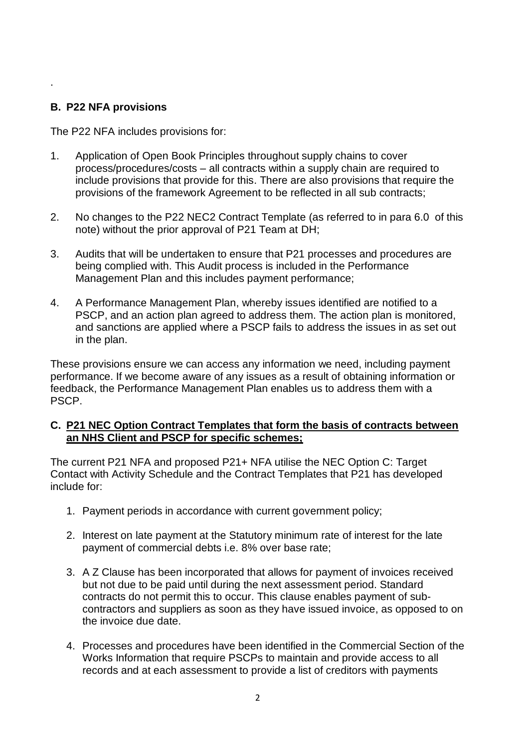## **B. P22 NFA provisions**

.

The P22 NFA includes provisions for:

- 1. Application of Open Book Principles throughout supply chains to cover process/procedures/costs – all contracts within a supply chain are required to include provisions that provide for this. There are also provisions that require the provisions of the framework Agreement to be reflected in all sub contracts;
- 2. No changes to the P22 NEC2 Contract Template (as referred to in para 6.0 of this note) without the prior approval of P21 Team at DH;
- 3. Audits that will be undertaken to ensure that P21 processes and procedures are being complied with. This Audit process is included in the Performance Management Plan and this includes payment performance;
- 4. A Performance Management Plan, whereby issues identified are notified to a PSCP, and an action plan agreed to address them. The action plan is monitored, and sanctions are applied where a PSCP fails to address the issues in as set out in the plan.

These provisions ensure we can access any information we need, including payment performance. If we become aware of any issues as a result of obtaining information or feedback, the Performance Management Plan enables us to address them with a PSCP.

#### **C. P21 NEC Option Contract Templates that form the basis of contracts between an NHS Client and PSCP for specific schemes;**

The current P21 NFA and proposed P21+ NFA utilise the NEC Option C: Target Contact with Activity Schedule and the Contract Templates that P21 has developed include for:

- 1. Payment periods in accordance with current government policy;
- 2. Interest on late payment at the Statutory minimum rate of interest for the late payment of commercial debts i.e. 8% over base rate;
- 3. A Z Clause has been incorporated that allows for payment of invoices received but not due to be paid until during the next assessment period. Standard contracts do not permit this to occur. This clause enables payment of subcontractors and suppliers as soon as they have issued invoice, as opposed to on the invoice due date.
- 4. Processes and procedures have been identified in the Commercial Section of the Works Information that require PSCPs to maintain and provide access to all records and at each assessment to provide a list of creditors with payments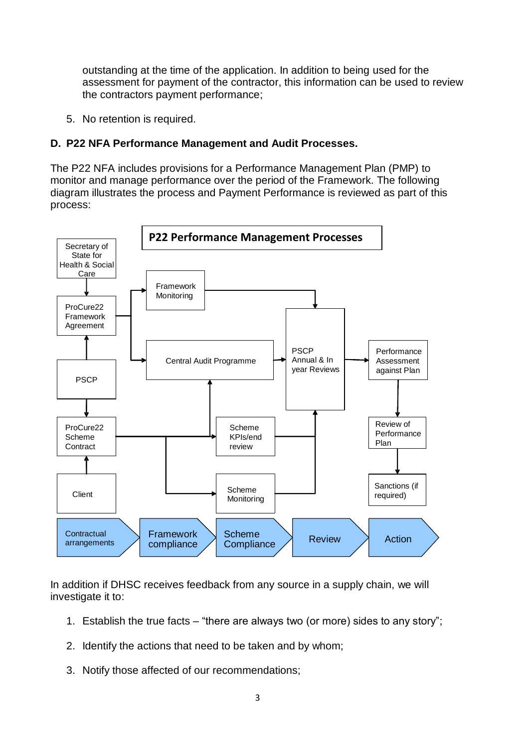outstanding at the time of the application. In addition to being used for the assessment for payment of the contractor, this information can be used to review the contractors payment performance;

5. No retention is required.

### **D. P22 NFA Performance Management and Audit Processes.**

The P22 NFA includes provisions for a Performance Management Plan (PMP) to monitor and manage performance over the period of the Framework. The following diagram illustrates the process and Payment Performance is reviewed as part of this process:



In addition if DHSC receives feedback from any source in a supply chain, we will investigate it to:

- 1. Establish the true facts "there are always two (or more) sides to any story";
- 2. Identify the actions that need to be taken and by whom;
- 3. Notify those affected of our recommendations;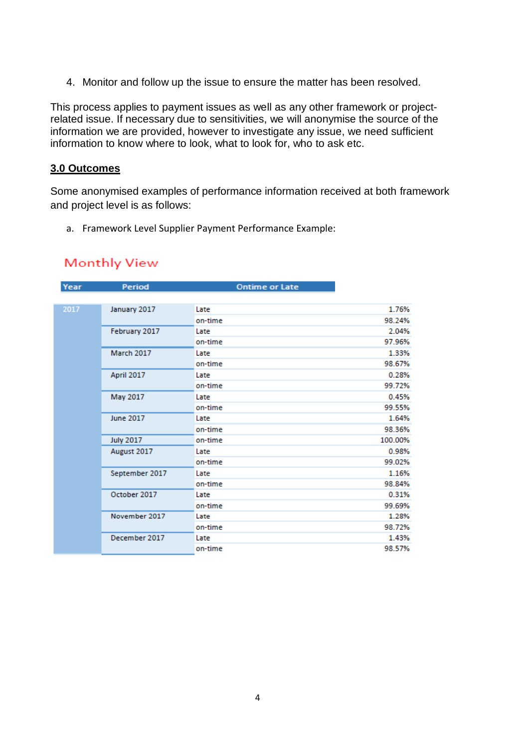4. Monitor and follow up the issue to ensure the matter has been resolved.

This process applies to payment issues as well as any other framework or projectrelated issue. If necessary due to sensitivities, we will anonymise the source of the information we are provided, however to investigate any issue, we need sufficient information to know where to look, what to look for, who to ask etc.

#### **3.0 Outcomes**

Some anonymised examples of performance information received at both framework and project level is as follows:

a. Framework Level Supplier Payment Performance Example:

# **Monthly View**

| Year | Period           | <b>Ontime or Late</b> |         |
|------|------------------|-----------------------|---------|
|      |                  |                       |         |
| 2017 | January 2017     | Late                  | 1.76%   |
|      |                  | on-time               | 98.24%  |
|      | February 2017    | Late                  | 2.04%   |
|      |                  | on-time               | 97.96%  |
|      | March 2017       | Late                  | 1.33%   |
|      |                  | on-time               | 98.67%  |
|      | April 2017       | Late                  | 0.28%   |
|      |                  | on-time               | 99.72%  |
|      | May 2017         | Late                  | 0.45%   |
|      |                  | on-time               | 99.55%  |
|      | <b>June 2017</b> | Late                  | 1.64%   |
|      |                  | on-time               | 98.36%  |
|      | <b>July 2017</b> | on-time               | 100.00% |
|      | August 2017      | Late                  | 0.98%   |
|      |                  | on-time               | 99.02%  |
|      | September 2017   | Late                  | 1.16%   |
|      |                  | on-time               | 98.84%  |
|      | October 2017     | Late                  | 0.31%   |
|      |                  | on-time               | 99.69%  |
|      | November 2017    | Late                  | 1.28%   |
|      |                  | on-time               | 98.72%  |
|      | December 2017    | Late                  | 1.43%   |
|      |                  | on-time               | 98.57%  |